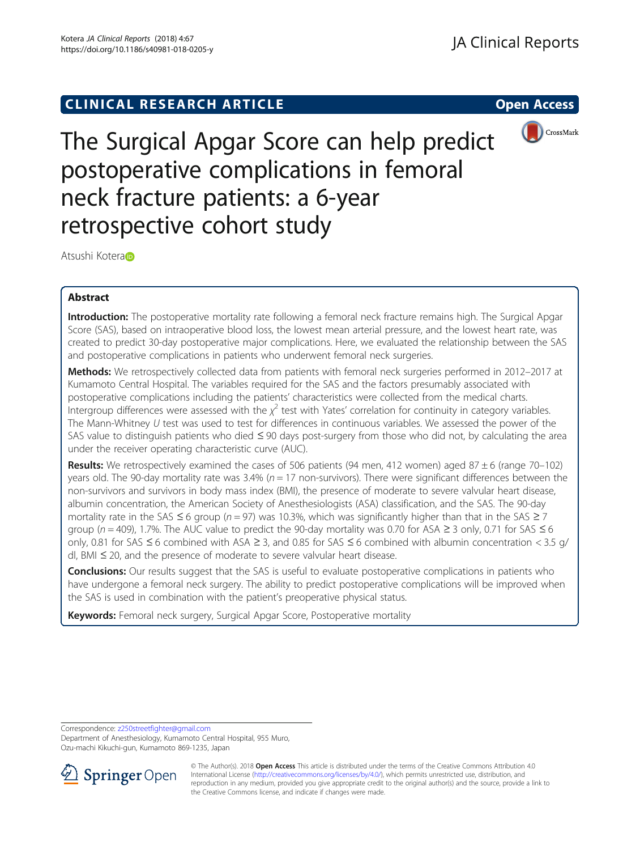**CLINICAL RESEARCH ARTICLE CLINICAL RESEARCH ARTICLE** 



# The Surgical Apgar Score can help predict postoperative complications in femoral neck fracture patients: a 6-year retrospective cohort study

Atsushi Koter[a](http://orcid.org/0000-0002-4748-786X)

# Abstract

Introduction: The postoperative mortality rate following a femoral neck fracture remains high. The Surgical Apgar Score (SAS), based on intraoperative blood loss, the lowest mean arterial pressure, and the lowest heart rate, was created to predict 30-day postoperative major complications. Here, we evaluated the relationship between the SAS and postoperative complications in patients who underwent femoral neck surgeries.

Methods: We retrospectively collected data from patients with femoral neck surgeries performed in 2012-2017 at Kumamoto Central Hospital. The variables required for the SAS and the factors presumably associated with postoperative complications including the patients' characteristics were collected from the medical charts. Intergroup differences were assessed with the  $\chi^2$  test with Yates' correlation for continuity in category variables. The Mann-Whitney U test was used to test for differences in continuous variables. We assessed the power of the SAS value to distinguish patients who died ≤ 90 days post-surgery from those who did not, by calculating the area under the receiver operating characteristic curve (AUC).

Results: We retrospectively examined the cases of 506 patients (94 men, 412 women) aged  $87 \pm 6$  (range 70–102) years old. The 90-day mortality rate was 3.4% ( $n = 17$  non-survivors). There were significant differences between the non-survivors and survivors in body mass index (BMI), the presence of moderate to severe valvular heart disease, albumin concentration, the American Society of Anesthesiologists (ASA) classification, and the SAS. The 90-day mortality rate in the SAS  $\leq$  6 group (n = 97) was 10.3%, which was significantly higher than that in the SAS  $\geq$  7 group ( $n = 409$ ), 1.7%. The AUC value to predict the 90-day mortality was 0.70 for ASA ≥ 3 only, 0.71 for SAS ≤ 6 only, 0.81 for SAS ≤ 6 combined with ASA ≥ 3, and 0.85 for SAS ≤ 6 combined with albumin concentration < 3.5 g/ dl, BMI ≤ 20, and the presence of moderate to severe valvular heart disease.

**Conclusions:** Our results suggest that the SAS is useful to evaluate postoperative complications in patients who have undergone a femoral neck surgery. The ability to predict postoperative complications will be improved when the SAS is used in combination with the patient's preoperative physical status.

Keywords: Femoral neck surgery, Surgical Apgar Score, Postoperative mortality

Correspondence: [z250streetfighter@gmail.com](mailto:z250streetfighter@gmail.com)

Department of Anesthesiology, Kumamoto Central Hospital, 955 Muro, Ozu-machi Kikuchi-gun, Kumamoto 869-1235, Japan



<sup>©</sup> The Author(s). 2018 Open Access This article is distributed under the terms of the Creative Commons Attribution 4.0 International License ([http://creativecommons.org/licenses/by/4.0/\)](http://creativecommons.org/licenses/by/4.0/), which permits unrestricted use, distribution, and reproduction in any medium, provided you give appropriate credit to the original author(s) and the source, provide a link to the Creative Commons license, and indicate if changes were made.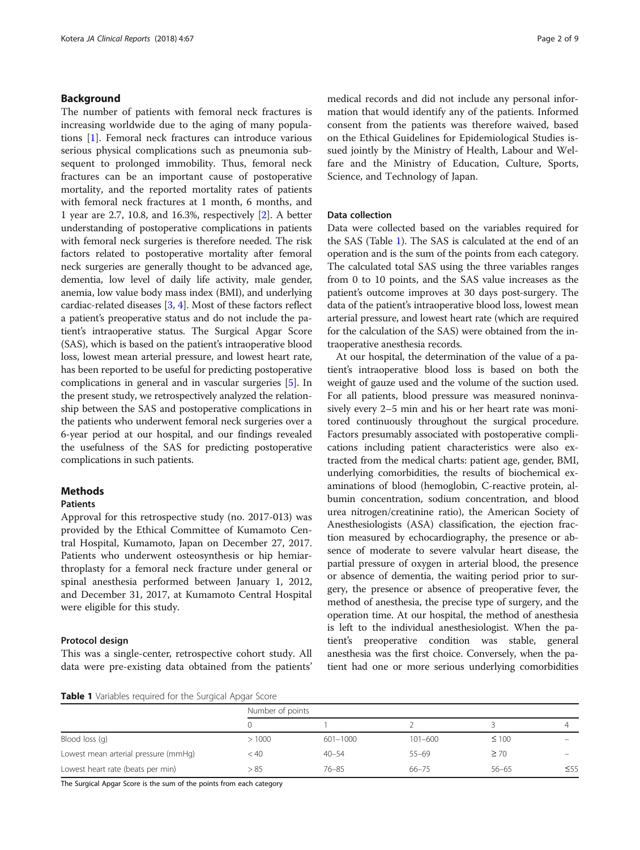## Background

The number of patients with femoral neck fractures is increasing worldwide due to the aging of many populations [\[1\]](#page-7-0). Femoral neck fractures can introduce various serious physical complications such as pneumonia subsequent to prolonged immobility. Thus, femoral neck fractures can be an important cause of postoperative mortality, and the reported mortality rates of patients with femoral neck fractures at 1 month, 6 months, and 1 year are 2.7, 10.8, and 16.3%, respectively [\[2](#page-7-0)]. A better understanding of postoperative complications in patients with femoral neck surgeries is therefore needed. The risk factors related to postoperative mortality after femoral neck surgeries are generally thought to be advanced age, dementia, low level of daily life activity, male gender, anemia, low value body mass index (BMI), and underlying cardiac-related diseases [\[3,](#page-7-0) [4](#page-7-0)]. Most of these factors reflect a patient's preoperative status and do not include the patient's intraoperative status. The Surgical Apgar Score (SAS), which is based on the patient's intraoperative blood loss, lowest mean arterial pressure, and lowest heart rate, has been reported to be useful for predicting postoperative complications in general and in vascular surgeries [\[5](#page-7-0)]. In the present study, we retrospectively analyzed the relationship between the SAS and postoperative complications in the patients who underwent femoral neck surgeries over a 6-year period at our hospital, and our findings revealed the usefulness of the SAS for predicting postoperative complications in such patients.

## **Methods**

## Patients

Approval for this retrospective study (no. 2017-013) was provided by the Ethical Committee of Kumamoto Central Hospital, Kumamoto, Japan on December 27, 2017. Patients who underwent osteosynthesis or hip hemiarthroplasty for a femoral neck fracture under general or spinal anesthesia performed between January 1, 2012, and December 31, 2017, at Kumamoto Central Hospital were eligible for this study.

## Protocol design

This was a single-center, retrospective cohort study. All data were pre-existing data obtained from the patients' medical records and did not include any personal information that would identify any of the patients. Informed consent from the patients was therefore waived, based on the Ethical Guidelines for Epidemiological Studies issued jointly by the Ministry of Health, Labour and Welfare and the Ministry of Education, Culture, Sports, Science, and Technology of Japan.

## Data collection

Data were collected based on the variables required for the SAS (Table 1). The SAS is calculated at the end of an operation and is the sum of the points from each category. The calculated total SAS using the three variables ranges from 0 to 10 points, and the SAS value increases as the patient's outcome improves at 30 days post-surgery. The data of the patient's intraoperative blood loss, lowest mean arterial pressure, and lowest heart rate (which are required for the calculation of the SAS) were obtained from the intraoperative anesthesia records.

At our hospital, the determination of the value of a patient's intraoperative blood loss is based on both the weight of gauze used and the volume of the suction used. For all patients, blood pressure was measured noninvasively every 2–5 min and his or her heart rate was monitored continuously throughout the surgical procedure. Factors presumably associated with postoperative complications including patient characteristics were also extracted from the medical charts: patient age, gender, BMI, underlying comorbidities, the results of biochemical examinations of blood (hemoglobin, C-reactive protein, albumin concentration, sodium concentration, and blood urea nitrogen/creatinine ratio), the American Society of Anesthesiologists (ASA) classification, the ejection fraction measured by echocardiography, the presence or absence of moderate to severe valvular heart disease, the partial pressure of oxygen in arterial blood, the presence or absence of dementia, the waiting period prior to surgery, the presence or absence of preoperative fever, the method of anesthesia, the precise type of surgery, and the operation time. At our hospital, the method of anesthesia is left to the individual anesthesiologist. When the patient's preoperative condition was stable, general anesthesia was the first choice. Conversely, when the patient had one or more serious underlying comorbidities

Table 1 Variables required for the Surgical Apgar Score

|                                      | Number of points |              |             |            |           |  |
|--------------------------------------|------------------|--------------|-------------|------------|-----------|--|
|                                      |                  |              |             |            |           |  |
| Blood loss (g)                       | >1000            | $601 - 1000$ | $101 - 600$ | $\leq 100$ |           |  |
| Lowest mean arterial pressure (mmHq) | < 40             | $40 - 54$    | $55 - 69$   | $\geq$ 70  |           |  |
| Lowest heart rate (beats per min)    | > 85             | $76 - 85$    | $66 - 75$   | $56 - 65$  | $\leq 55$ |  |

The Surgical Apgar Score is the sum of the points from each category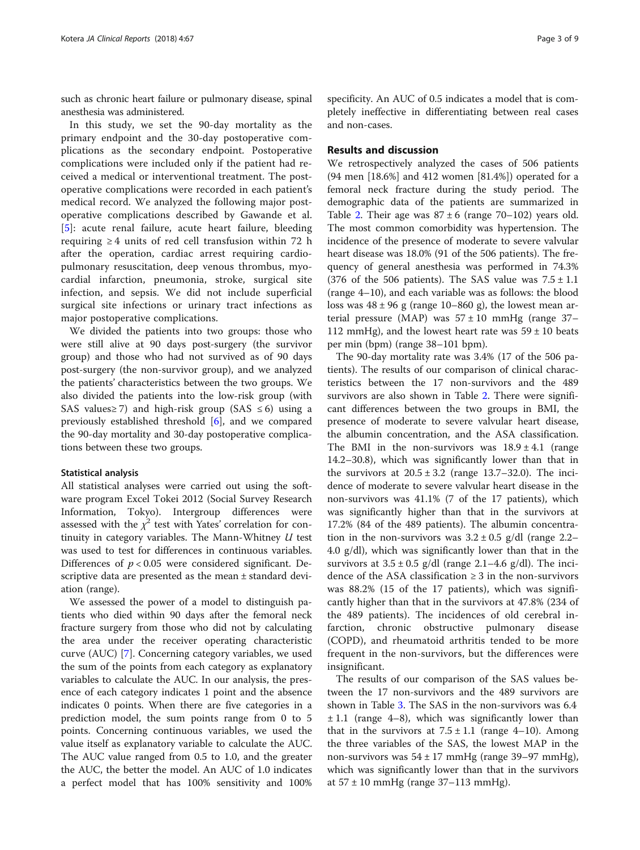such as chronic heart failure or pulmonary disease, spinal anesthesia was administered.

In this study, we set the 90-day mortality as the primary endpoint and the 30-day postoperative complications as the secondary endpoint. Postoperative complications were included only if the patient had received a medical or interventional treatment. The postoperative complications were recorded in each patient's medical record. We analyzed the following major postoperative complications described by Gawande et al. [[5\]](#page-7-0): acute renal failure, acute heart failure, bleeding requiring  $\geq 4$  units of red cell transfusion within 72 h after the operation, cardiac arrest requiring cardiopulmonary resuscitation, deep venous thrombus, myocardial infarction, pneumonia, stroke, surgical site infection, and sepsis. We did not include superficial surgical site infections or urinary tract infections as major postoperative complications.

We divided the patients into two groups: those who were still alive at 90 days post-surgery (the survivor group) and those who had not survived as of 90 days post-surgery (the non-survivor group), and we analyzed the patients' characteristics between the two groups. We also divided the patients into the low-risk group (with SAS values≥7) and high-risk group (SAS  $\leq 6$ ) using a previously established threshold [\[6\]](#page-7-0), and we compared the 90-day mortality and 30-day postoperative complications between these two groups.

## Statistical analysis

All statistical analyses were carried out using the software program Excel Tokei 2012 (Social Survey Research Information, Tokyo). Intergroup differences were assessed with the  $\chi^2$  test with Yates' correlation for continuity in category variables. The Mann-Whitney  $U$  test was used to test for differences in continuous variables. Differences of  $p < 0.05$  were considered significant. Descriptive data are presented as the mean ± standard deviation (range).

We assessed the power of a model to distinguish patients who died within 90 days after the femoral neck fracture surgery from those who did not by calculating the area under the receiver operating characteristic curve (AUC) [\[7](#page-8-0)]. Concerning category variables, we used the sum of the points from each category as explanatory variables to calculate the AUC. In our analysis, the presence of each category indicates 1 point and the absence indicates 0 points. When there are five categories in a prediction model, the sum points range from 0 to 5 points. Concerning continuous variables, we used the value itself as explanatory variable to calculate the AUC. The AUC value ranged from 0.5 to 1.0, and the greater the AUC, the better the model. An AUC of 1.0 indicates a perfect model that has 100% sensitivity and 100%

specificity. An AUC of 0.5 indicates a model that is completely ineffective in differentiating between real cases and non-cases.

## Results and discussion

We retrospectively analyzed the cases of 506 patients (94 men [18.6%] and 412 women [81.4%]) operated for a femoral neck fracture during the study period. The demographic data of the patients are summarized in Table [2.](#page-3-0) Their age was  $87 \pm 6$  (range 70–102) years old. The most common comorbidity was hypertension. The incidence of the presence of moderate to severe valvular heart disease was 18.0% (91 of the 506 patients). The frequency of general anesthesia was performed in 74.3% (376 of the 506 patients). The SAS value was  $7.5 \pm 1.1$ (range 4–10), and each variable was as follows: the blood loss was  $48 \pm 96$  g (range 10–860 g), the lowest mean arterial pressure (MAP) was  $57 \pm 10$  mmHg (range 37– 112 mmHg), and the lowest heart rate was  $59 \pm 10$  beats per min (bpm) (range 38–101 bpm).

The 90-day mortality rate was 3.4% (17 of the 506 patients). The results of our comparison of clinical characteristics between the 17 non-survivors and the 489 survivors are also shown in Table [2.](#page-3-0) There were significant differences between the two groups in BMI, the presence of moderate to severe valvular heart disease, the albumin concentration, and the ASA classification. The BMI in the non-survivors was  $18.9 \pm 4.1$  (range 14.2–30.8), which was significantly lower than that in the survivors at  $20.5 \pm 3.2$  (range 13.7–32.0). The incidence of moderate to severe valvular heart disease in the non-survivors was 41.1% (7 of the 17 patients), which was significantly higher than that in the survivors at 17.2% (84 of the 489 patients). The albumin concentration in the non-survivors was  $3.2 \pm 0.5$  g/dl (range 2.2– 4.0 g/dl), which was significantly lower than that in the survivors at  $3.5 \pm 0.5$  g/dl (range 2.1–4.6 g/dl). The incidence of the ASA classification  $\geq 3$  in the non-survivors was 88.2% (15 of the 17 patients), which was significantly higher than that in the survivors at 47.8% (234 of the 489 patients). The incidences of old cerebral infarction, chronic obstructive pulmonary disease (COPD), and rheumatoid arthritis tended to be more frequent in the non-survivors, but the differences were insignificant.

The results of our comparison of the SAS values between the 17 non-survivors and the 489 survivors are shown in Table [3](#page-3-0). The SAS in the non-survivors was 6.4  $\pm$  1.1 (range 4–8), which was significantly lower than that in the survivors at  $7.5 \pm 1.1$  (range 4–10). Among the three variables of the SAS, the lowest MAP in the non-survivors was  $54 \pm 17$  mmHg (range 39–97 mmHg), which was significantly lower than that in the survivors at  $57 \pm 10$  mmHg (range  $37-113$  mmHg).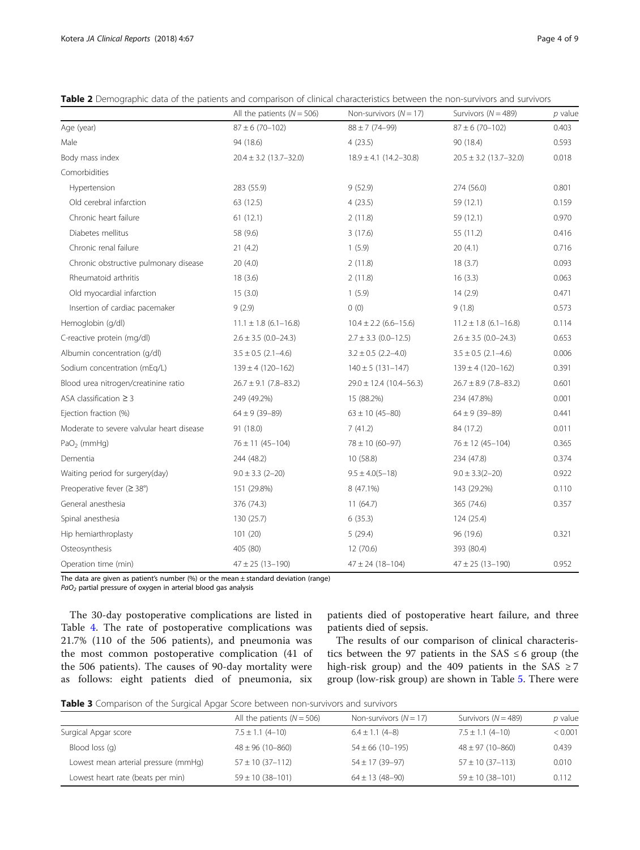<span id="page-3-0"></span>

| Table 2 Demographic data of the patients and comparison of clinical characteristics between the non-survivors and survivors |  |  |  |  |
|-----------------------------------------------------------------------------------------------------------------------------|--|--|--|--|
|-----------------------------------------------------------------------------------------------------------------------------|--|--|--|--|

|                                           | All the patients ( $N = 506$ ) | Non-survivors $(N = 17)$    | Survivors ( $N = 489$ )    | p value |
|-------------------------------------------|--------------------------------|-----------------------------|----------------------------|---------|
| Age (year)                                | $87 \pm 6$ (70-102)            | $88 \pm 7(74 - 99)$         | $87 \pm 6$ (70-102)        | 0.403   |
| Male                                      | 94 (18.6)                      | 4(23.5)                     | 90 (18.4)                  | 0.593   |
| Body mass index                           | $20.4 \pm 3.2$ (13.7-32.0)     | $18.9 \pm 4.1$ (14.2-30.8)  | $20.5 \pm 3.2$ (13.7-32.0) | 0.018   |
| Comorbidities                             |                                |                             |                            |         |
| Hypertension                              | 283 (55.9)                     | 9(52.9)                     | 274 (56.0)                 | 0.801   |
| Old cerebral infarction                   | 63 (12.5)                      | 4(23.5)                     | 59 (12.1)                  | 0.159   |
| Chronic heart failure                     | 61(12.1)                       | 2(11.8)                     | 59 (12.1)                  | 0.970   |
| Diabetes mellitus                         | 58 (9.6)                       | 3(17.6)                     | 55 (11.2)                  | 0.416   |
| Chronic renal failure                     | 21(4.2)                        | 1(5.9)                      | 20(4.1)                    | 0.716   |
| Chronic obstructive pulmonary disease     | 20(4.0)                        | 2(11.8)                     | 18(3.7)                    | 0.093   |
| Rheumatoid arthritis                      | 18(3.6)                        | 2(11.8)                     | 16(3.3)                    | 0.063   |
| Old myocardial infarction                 | 15(3.0)                        | 1(5.9)                      | 14(2.9)                    | 0.471   |
| Insertion of cardiac pacemaker            | 9(2.9)                         | 0(0)                        | 9(1.8)                     | 0.573   |
| Hemoglobin (g/dl)                         | $11.1 \pm 1.8$ (6.1-16.8)      | $10.4 \pm 2.2$ (6.6-15.6)   | $11.2 \pm 1.8$ (6.1-16.8)  | 0.114   |
| C-reactive protein (mg/dl)                | $2.6 \pm 3.5$ (0.0-24.3)       | $2.7 \pm 3.3$ (0.0-12.5)    | $2.6 \pm 3.5$ (0.0-24.3)   | 0.653   |
| Albumin concentration (g/dl)              | $3.5 \pm 0.5$ (2.1-4.6)        | $3.2 \pm 0.5$ (2.2-4.0)     | $3.5 \pm 0.5$ (2.1-4.6)    | 0.006   |
| Sodium concentration (mEq/L)              | $139 \pm 4 (120 - 162)$        | $140 \pm 5$ (131-147)       | $139 \pm 4 (120 - 162)$    | 0.391   |
| Blood urea nitrogen/creatinine ratio      | $26.7 \pm 9.1$ (7.8-83.2)      | $29.0 \pm 12.4$ (10.4-56.3) | $26.7 \pm 8.9$ (7.8-83.2)  | 0.601   |
| ASA classification $\geq$ 3               | 249 (49.2%)                    | 15 (88.2%)                  | 234 (47.8%)                | 0.001   |
| Ejection fraction (%)                     | $64 \pm 9$ (39-89)             | $63 \pm 10 (45 - 80)$       | $64 \pm 9$ (39-89)         | 0.441   |
| Moderate to severe valvular heart disease | 91 (18.0)                      | 7(41.2)                     | 84 (17.2)                  | 0.011   |
| $PaO2$ (mmHq)                             | $76 \pm 11$ (45-104)           | $78 \pm 10 (60 - 97)$       | $76 \pm 12$ (45-104)       | 0.365   |
| Dementia                                  | 244 (48.2)                     | 10 (58.8)                   | 234 (47.8)                 | 0.374   |
| Waiting period for surgery(day)           | $9.0 \pm 3.3$ (2-20)           | $9.5 \pm 4.0(5 - 18)$       | $9.0 \pm 3.3(2 - 20)$      | 0.922   |
| Preoperative fever ( $\geq 38^{\circ}$ )  | 151 (29.8%)                    | 8 (47.1%)                   | 143 (29.2%)                | 0.110   |
| General anesthesia                        | 376 (74.3)                     | 11(64.7)                    | 365 (74.6)                 | 0.357   |
| Spinal anesthesia                         | 130 (25.7)                     | 6(35.3)                     | 124 (25.4)                 |         |
| Hip hemiarthroplasty                      | 101(20)                        | 5(29.4)                     | 96 (19.6)                  | 0.321   |
| Osteosynthesis                            | 405 (80)                       | 12 (70.6)                   | 393 (80.4)                 |         |
| Operation time (min)                      | $47 \pm 25$ (13-190)           | $47 \pm 24$ (18-104)        | $47 \pm 25$ (13-190)       | 0.952   |

The data are given as patient's number  $(%)$  or the mean  $\pm$  standard deviation (range)

 $PaO<sub>2</sub>$  partial pressure of oxygen in arterial blood gas analysis

The 30-day postoperative complications are listed in Table [4](#page-4-0). The rate of postoperative complications was 21.7% (110 of the 506 patients), and pneumonia was the most common postoperative complication (41 of the 506 patients). The causes of 90-day mortality were as follows: eight patients died of pneumonia, six

patients died of postoperative heart failure, and three patients died of sepsis.

The results of our comparison of clinical characteristics between the 97 patients in the SAS  $\leq 6$  group (the high-risk group) and the 409 patients in the SAS  $\geq$  7 group (low-risk group) are shown in Table [5.](#page-5-0) There were

| Table 3 Comparison of the Surgical Apgar Score between non-survivors and survivors |  |
|------------------------------------------------------------------------------------|--|
|------------------------------------------------------------------------------------|--|

|                                      | All the patients $(N = 506)$ | Non-survivors $(N = 17)$ | Survivors $(N = 489)$  | p value |
|--------------------------------------|------------------------------|--------------------------|------------------------|---------|
| Surgical Apgar score                 | $7.5 \pm 1.1$ (4-10)         | $6.4 \pm 1.1$ (4-8)      | $7.5 \pm 1.1$ (4-10)   | < 0.001 |
| Blood loss (g)                       | $48 \pm 96$ (10-860)         | $54 \pm 66$ (10-195)     | $48 \pm 97$ (10-860)   | 0.439   |
| Lowest mean arterial pressure (mmHg) | $57 \pm 10$ (37-112)         | $54 \pm 17$ (39-97)      | $57 \pm 10$ (37-113)   | 0.010   |
| Lowest heart rate (beats per min)    | $59 \pm 10$ (38-101)         | $64 \pm 13(48 - 90)$     | $59 \pm 10 (38 - 101)$ | 0.112   |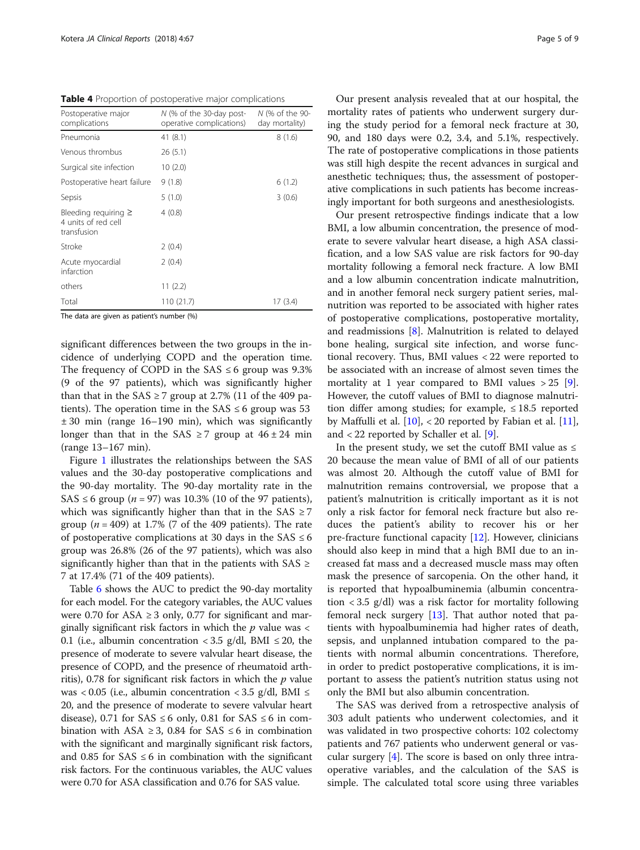<span id="page-4-0"></span>Table 4 Proportion of postoperative major complications

| Postoperative major<br>complications                            | N (% of the 30-day post-<br>operative complications) | N (% of the 90-<br>day mortality) |
|-----------------------------------------------------------------|------------------------------------------------------|-----------------------------------|
| Pneumonia                                                       | 41(8.1)                                              | 8(1.6)                            |
| Venous thrombus                                                 | 26(5.1)                                              |                                   |
| Surgical site infection                                         | 10(2.0)                                              |                                   |
| Postoperative heart failure                                     | 9(1.8)                                               | 6(1.2)                            |
| Sepsis                                                          | 5(1.0)                                               | 3(0.6)                            |
| Bleeding requiring $\geq$<br>4 units of red cell<br>transfusion | 4(0.8)                                               |                                   |
| Stroke                                                          | 2(0.4)                                               |                                   |
| Acute myocardial<br>infarction                                  | 2(0.4)                                               |                                   |
| others                                                          | 11(2.2)                                              |                                   |
| Total                                                           | 110 (21.7)                                           | 17 (3.4)                          |

The data are given as patient's number (%)

significant differences between the two groups in the incidence of underlying COPD and the operation time. The frequency of COPD in the  $SAS \leq 6$  group was 9.3% (9 of the 97 patients), which was significantly higher than that in the SAS  $\geq$  7 group at 2.7% (11 of the 409 patients). The operation time in the  $SAS \leq 6$  group was 53 ± 30 min (range 16–190 min), which was significantly longer than that in the SAS  $\geq$  7 group at  $46 \pm 24$  min (range 13–167 min).

Figure [1](#page-6-0) illustrates the relationships between the SAS values and the 30-day postoperative complications and the 90-day mortality. The 90-day mortality rate in the SAS  $\leq$  6 group (*n* = 97) was 10.3% (10 of the 97 patients), which was significantly higher than that in the SAS  $\geq$  7 group ( $n = 409$ ) at 1.7% (7 of the 409 patients). The rate of postoperative complications at 30 days in the  $SAS \leq 6$ group was 26.8% (26 of the 97 patients), which was also significantly higher than that in the patients with  $SAS \geq$ 7 at 17.4% (71 of the 409 patients).

Table [6](#page-6-0) shows the AUC to predict the 90-day mortality for each model. For the category variables, the AUC values were 0.70 for ASA  $\geq$  3 only, 0.77 for significant and marginally significant risk factors in which the  $p$  value was  $\lt$ 0.1 (i.e., albumin concentration < 3.5 g/dl, BMI  $\leq$  20, the presence of moderate to severe valvular heart disease, the presence of COPD, and the presence of rheumatoid arthritis), 0.78 for significant risk factors in which the  $p$  value was < 0.05 (i.e., albumin concentration < 3.5 g/dl, BMI  $\leq$ 20, and the presence of moderate to severe valvular heart disease), 0.71 for SAS  $\leq$  6 only, 0.81 for SAS  $\leq$  6 in combination with ASA  $\geq$  3, 0.84 for SAS  $\leq$  6 in combination with the significant and marginally significant risk factors, and 0.85 for  $SAS \leq 6$  in combination with the significant risk factors. For the continuous variables, the AUC values were 0.70 for ASA classification and 0.76 for SAS value.

Our present analysis revealed that at our hospital, the mortality rates of patients who underwent surgery during the study period for a femoral neck fracture at 30, 90, and 180 days were 0.2, 3.4, and 5.1%, respectively. The rate of postoperative complications in those patients was still high despite the recent advances in surgical and anesthetic techniques; thus, the assessment of postoperative complications in such patients has become increasingly important for both surgeons and anesthesiologists.

Our present retrospective findings indicate that a low BMI, a low albumin concentration, the presence of moderate to severe valvular heart disease, a high ASA classification, and a low SAS value are risk factors for 90-day mortality following a femoral neck fracture. A low BMI and a low albumin concentration indicate malnutrition, and in another femoral neck surgery patient series, malnutrition was reported to be associated with higher rates of postoperative complications, postoperative mortality, and readmissions [[8](#page-8-0)]. Malnutrition is related to delayed bone healing, surgical site infection, and worse functional recovery. Thus, BMI values < 22 were reported to be associated with an increase of almost seven times the mortality at 1 year compared to BMI values  $> 25$  [\[9](#page-8-0)]. However, the cutoff values of BMI to diagnose malnutrition differ among studies; for example,  $\leq 18.5$  reported by Maffulli et al.  $[10]$  $[10]$  $[10]$ , < 20 reported by Fabian et al.  $[11]$  $[11]$ , and < 22 reported by Schaller et al. [\[9\]](#page-8-0).

In the present study, we set the cutoff BMI value as  $\leq$ 20 because the mean value of BMI of all of our patients was almost 20. Although the cutoff value of BMI for malnutrition remains controversial, we propose that a patient's malnutrition is critically important as it is not only a risk factor for femoral neck fracture but also reduces the patient's ability to recover his or her pre-fracture functional capacity [[12\]](#page-8-0). However, clinicians should also keep in mind that a high BMI due to an increased fat mass and a decreased muscle mass may often mask the presence of sarcopenia. On the other hand, it is reported that hypoalbuminemia (albumin concentration < 3.5 g/dl) was a risk factor for mortality following femoral neck surgery [[13\]](#page-8-0). That author noted that patients with hypoalbuminemia had higher rates of death, sepsis, and unplanned intubation compared to the patients with normal albumin concentrations. Therefore, in order to predict postoperative complications, it is important to assess the patient's nutrition status using not only the BMI but also albumin concentration.

The SAS was derived from a retrospective analysis of 303 adult patients who underwent colectomies, and it was validated in two prospective cohorts: 102 colectomy patients and 767 patients who underwent general or vascular surgery [\[4](#page-7-0)]. The score is based on only three intraoperative variables, and the calculation of the SAS is simple. The calculated total score using three variables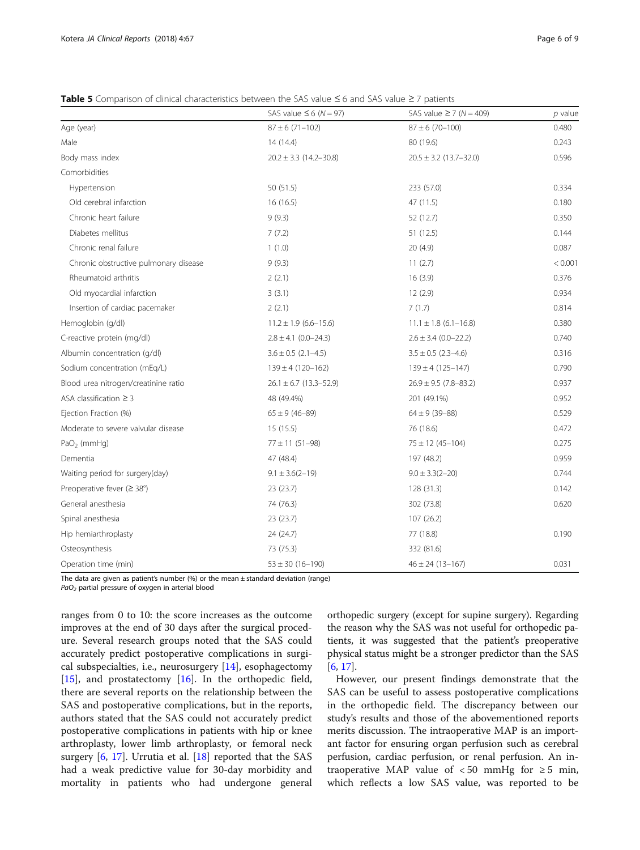<span id="page-5-0"></span>Table 5 Comparison of clinical characteristics between the SAS value  $\leq$  6 and SAS value  $\geq$  7 patients

|                                       | SAS value $\leq 6$ (N = 97) | SAS value $\geq$ 7 (N = 409) | $p$ value |
|---------------------------------------|-----------------------------|------------------------------|-----------|
| Age (year)                            | $87 \pm 6$ (71-102)         | $87 \pm 6$ (70-100)          | 0.480     |
| Male                                  | 14(14.4)                    | 80 (19.6)                    | 0.243     |
| Body mass index                       | $20.2 \pm 3.3$ (14.2-30.8)  | $20.5 \pm 3.2$ (13.7-32.0)   | 0.596     |
| Comorbidities                         |                             |                              |           |
| Hypertension                          | 50 (51.5)                   | 233 (57.0)                   | 0.334     |
| Old cerebral infarction               | 16(16.5)                    | 47 (11.5)                    | 0.180     |
| Chronic heart failure                 | 9(9.3)                      | 52 (12.7)                    | 0.350     |
| Diabetes mellitus                     | 7(7.2)                      | 51 (12.5)                    | 0.144     |
| Chronic renal failure                 | 1(1.0)                      | 20(4.9)                      | 0.087     |
| Chronic obstructive pulmonary disease | 9(9.3)                      | 11(2.7)                      | < 0.001   |
| Rheumatoid arthritis                  | 2(2.1)                      | 16(3.9)                      | 0.376     |
| Old myocardial infarction             | 3(3.1)                      | 12(2.9)                      | 0.934     |
| Insertion of cardiac pacemaker        | 2(2.1)                      | 7(1.7)                       | 0.814     |
| Hemoglobin (g/dl)                     | $11.2 \pm 1.9$ (6.6-15.6)   | $11.1 \pm 1.8$ (6.1-16.8)    | 0.380     |
| C-reactive protein (mg/dl)            | $2.8 \pm 4.1$ (0.0-24.3)    | $2.6 \pm 3.4$ (0.0-22.2)     | 0.740     |
| Albumin concentration (q/dl)          | $3.6 \pm 0.5$ (2.1-4.5)     | $3.5 \pm 0.5$ (2.3-4.6)      | 0.316     |
| Sodium concentration (mEq/L)          | $139 \pm 4 (120 - 162)$     | $139 \pm 4 (125 - 147)$      | 0.790     |
| Blood urea nitrogen/creatinine ratio  | $26.1 \pm 6.7$ (13.3-52.9)  | $26.9 \pm 9.5$ (7.8-83.2)    | 0.937     |
| ASA classification $\geq$ 3           | 48 (49.4%)                  | 201 (49.1%)                  | 0.952     |
| Ejection Fraction (%)                 | $65 \pm 9$ (46-89)          | $64 \pm 9$ (39-88)           | 0.529     |
| Moderate to severe valvular disease   | 15(15.5)                    | 76 (18.6)                    | 0.472     |
| $PaO2$ (mmHq)                         | $77 \pm 11$ (51-98)         | $75 \pm 12$ (45-104)         | 0.275     |
| Dementia                              | 47 (48.4)                   | 197 (48.2)                   | 0.959     |
| Waiting period for surgery(day)       | $9.1 \pm 3.6(2 - 19)$       | $9.0 \pm 3.3(2 - 20)$        | 0.744     |
| Preoperative fever ( $\geq$ 38°)      | 23 (23.7)                   | 128(31.3)                    | 0.142     |
| General anesthesia                    | 74 (76.3)                   | 302 (73.8)                   | 0.620     |
| Spinal anesthesia                     | 23 (23.7)                   | 107 (26.2)                   |           |
| Hip hemiarthroplasty                  | 24 (24.7)                   | 77 (18.8)                    | 0.190     |
| Osteosynthesis                        | 73 (75.3)                   | 332 (81.6)                   |           |
| Operation time (min)                  | $53 \pm 30 (16 - 190)$      | $46 \pm 24$ (13-167)         | 0.031     |

The data are given as patient's number  $(%)$  or the mean  $±$  standard deviation (range)

PaO<sub>2</sub> partial pressure of oxygen in arterial blood

ranges from 0 to 10: the score increases as the outcome improves at the end of 30 days after the surgical procedure. Several research groups noted that the SAS could accurately predict postoperative complications in surgical subspecialties, i.e., neurosurgery [\[14](#page-8-0)], esophagectomy [[15\]](#page-8-0), and prostatectomy [[16\]](#page-8-0). In the orthopedic field, there are several reports on the relationship between the SAS and postoperative complications, but in the reports, authors stated that the SAS could not accurately predict postoperative complications in patients with hip or knee arthroplasty, lower limb arthroplasty, or femoral neck surgery [\[6](#page-7-0), [17\]](#page-8-0). Urrutia et al. [[18\]](#page-8-0) reported that the SAS had a weak predictive value for 30-day morbidity and mortality in patients who had undergone general orthopedic surgery (except for supine surgery). Regarding the reason why the SAS was not useful for orthopedic patients, it was suggested that the patient's preoperative physical status might be a stronger predictor than the SAS [[6,](#page-7-0) [17\]](#page-8-0).

However, our present findings demonstrate that the SAS can be useful to assess postoperative complications in the orthopedic field. The discrepancy between our study's results and those of the abovementioned reports merits discussion. The intraoperative MAP is an important factor for ensuring organ perfusion such as cerebral perfusion, cardiac perfusion, or renal perfusion. An intraoperative MAP value of  $< 50$  mmHg for  $\ge 5$  min, which reflects a low SAS value, was reported to be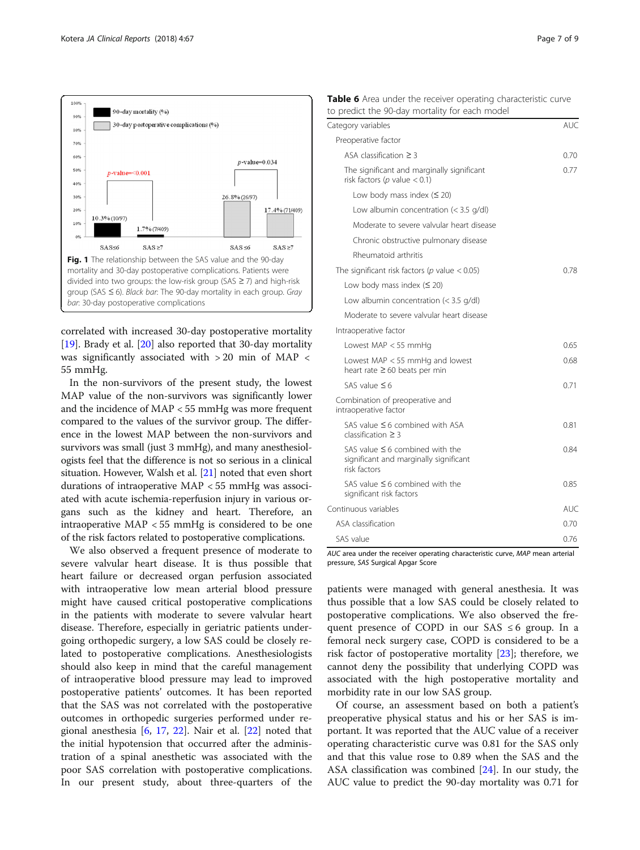<span id="page-6-0"></span>

correlated with increased 30-day postoperative mortality [[19\]](#page-8-0). Brady et al. [[20\]](#page-8-0) also reported that 30-day mortality was significantly associated with > 20 min of MAP < 55 mmHg.

In the non-survivors of the present study, the lowest MAP value of the non-survivors was significantly lower and the incidence of MAP < 55 mmHg was more frequent compared to the values of the survivor group. The difference in the lowest MAP between the non-survivors and survivors was small (just 3 mmHg), and many anesthesiologists feel that the difference is not so serious in a clinical situation. However, Walsh et al. [\[21\]](#page-8-0) noted that even short durations of intraoperative MAP < 55 mmHg was associated with acute ischemia-reperfusion injury in various organs such as the kidney and heart. Therefore, an intraoperative MAP < 55 mmHg is considered to be one of the risk factors related to postoperative complications.

We also observed a frequent presence of moderate to severe valvular heart disease. It is thus possible that heart failure or decreased organ perfusion associated with intraoperative low mean arterial blood pressure might have caused critical postoperative complications in the patients with moderate to severe valvular heart disease. Therefore, especially in geriatric patients undergoing orthopedic surgery, a low SAS could be closely related to postoperative complications. Anesthesiologists should also keep in mind that the careful management of intraoperative blood pressure may lead to improved postoperative patients' outcomes. It has been reported that the SAS was not correlated with the postoperative outcomes in orthopedic surgeries performed under regional anesthesia  $[6, 17, 22]$  $[6, 17, 22]$  $[6, 17, 22]$  $[6, 17, 22]$  $[6, 17, 22]$ . Nair et al.  $[22]$  $[22]$  noted that the initial hypotension that occurred after the administration of a spinal anesthetic was associated with the poor SAS correlation with postoperative complications. In our present study, about three-quarters of the

|  |  |  |  |                                                | Table 6 Area under the receiver operating characteristic curve |  |
|--|--|--|--|------------------------------------------------|----------------------------------------------------------------|--|
|  |  |  |  | to predict the 90-day mortality for each model |                                                                |  |

| Category variables                                                                             | AUC        |
|------------------------------------------------------------------------------------------------|------------|
| Preoperative factor                                                                            |            |
| ASA classification $\geq$ 3                                                                    | 0.70       |
| The significant and marginally significant<br>risk factors (p value $< 0.1$ )                  | 0.77       |
| Low body mass index $(520)$                                                                    |            |
| Low albumin concentration $(< 3.5$ g/dl)                                                       |            |
| Moderate to severe valvular heart disease                                                      |            |
| Chronic obstructive pulmonary disease                                                          |            |
| Rheumatoid arthritis                                                                           |            |
| The significant risk factors ( $p$ value < 0.05)                                               | 0.78       |
| Low body mass index $(520)$                                                                    |            |
| Low albumin concentration $(3.5 \frac{q}{dl})$                                                 |            |
| Moderate to severe valvular heart disease                                                      |            |
| Intraoperative factor                                                                          |            |
| Lowest MAP $<$ 55 mmHq                                                                         | 0.65       |
| Lowest MAP < 55 mmHg and lowest<br>heart rate $\geq 60$ beats per min                          | 0.68       |
| SAS value $\leq 6$                                                                             | 0.71       |
| Combination of preoperative and<br>intraoperative factor                                       |            |
| SAS value $\leq$ 6 combined with ASA<br>classification $\geq$ 3                                | 0.81       |
| SAS value $\leq$ 6 combined with the<br>significant and marginally significant<br>risk factors | 0.84       |
| SAS value $\leq$ 6 combined with the<br>significant risk factors                               | 0.85       |
| Continuous variables                                                                           | <b>AUC</b> |
| ASA classification                                                                             | 0.70       |
| SAS value                                                                                      | 0.76       |

AUC area under the receiver operating characteristic curve, MAP mean arterial pressure, SAS Surgical Apgar Score

patients were managed with general anesthesia. It was thus possible that a low SAS could be closely related to postoperative complications. We also observed the frequent presence of COPD in our SAS  $\leq 6$  group. In a femoral neck surgery case, COPD is considered to be a risk factor of postoperative mortality  $[23]$  $[23]$ ; therefore, we cannot deny the possibility that underlying COPD was associated with the high postoperative mortality and morbidity rate in our low SAS group.

Of course, an assessment based on both a patient's preoperative physical status and his or her SAS is important. It was reported that the AUC value of a receiver operating characteristic curve was 0.81 for the SAS only and that this value rose to 0.89 when the SAS and the ASA classification was combined [\[24\]](#page-8-0). In our study, the AUC value to predict the 90-day mortality was 0.71 for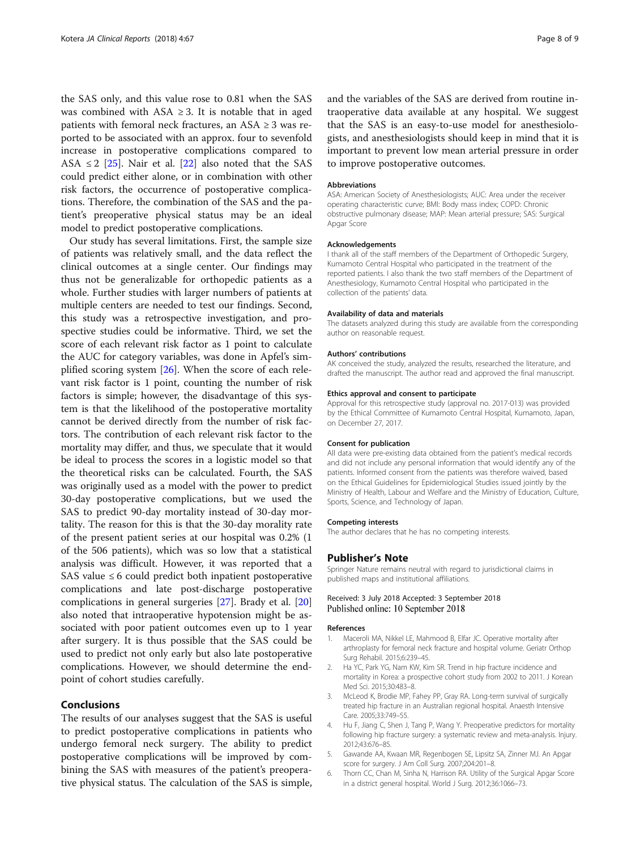<span id="page-7-0"></span>the SAS only, and this value rose to 0.81 when the SAS was combined with  $ASA \geq 3$ . It is notable that in aged patients with femoral neck fractures, an  $ASA \geq 3$  was reported to be associated with an approx. four to sevenfold increase in postoperative complications compared to ASA  $\leq$  2 [[25\]](#page-8-0). Nair et al. [\[22](#page-8-0)] also noted that the SAS could predict either alone, or in combination with other risk factors, the occurrence of postoperative complications. Therefore, the combination of the SAS and the patient's preoperative physical status may be an ideal model to predict postoperative complications.

Our study has several limitations. First, the sample size of patients was relatively small, and the data reflect the clinical outcomes at a single center. Our findings may thus not be generalizable for orthopedic patients as a whole. Further studies with larger numbers of patients at multiple centers are needed to test our findings. Second, this study was a retrospective investigation, and prospective studies could be informative. Third, we set the score of each relevant risk factor as 1 point to calculate the AUC for category variables, was done in Apfel's simplified scoring system [\[26\]](#page-8-0). When the score of each relevant risk factor is 1 point, counting the number of risk factors is simple; however, the disadvantage of this system is that the likelihood of the postoperative mortality cannot be derived directly from the number of risk factors. The contribution of each relevant risk factor to the mortality may differ, and thus, we speculate that it would be ideal to process the scores in a logistic model so that the theoretical risks can be calculated. Fourth, the SAS was originally used as a model with the power to predict 30-day postoperative complications, but we used the SAS to predict 90-day mortality instead of 30-day mortality. The reason for this is that the 30-day morality rate of the present patient series at our hospital was 0.2% (1 of the 506 patients), which was so low that a statistical analysis was difficult. However, it was reported that a SAS value  $\leq 6$  could predict both inpatient postoperative complications and late post-discharge postoperative complications in general surgeries [[27\]](#page-8-0). Brady et al. [[20](#page-8-0)] also noted that intraoperative hypotension might be associated with poor patient outcomes even up to 1 year after surgery. It is thus possible that the SAS could be used to predict not only early but also late postoperative complications. However, we should determine the endpoint of cohort studies carefully.

## Conclusions

The results of our analyses suggest that the SAS is useful to predict postoperative complications in patients who undergo femoral neck surgery. The ability to predict postoperative complications will be improved by combining the SAS with measures of the patient's preoperative physical status. The calculation of the SAS is simple, and the variables of the SAS are derived from routine intraoperative data available at any hospital. We suggest that the SAS is an easy-to-use model for anesthesiologists, and anesthesiologists should keep in mind that it is important to prevent low mean arterial pressure in order to improve postoperative outcomes.

#### **Abbreviations**

ASA: American Society of Anesthesiologists; AUC: Area under the receiver operating characteristic curve; BMI: Body mass index; COPD: Chronic obstructive pulmonary disease; MAP: Mean arterial pressure; SAS: Surgical Apgar Score

#### Acknowledgements

I thank all of the staff members of the Department of Orthopedic Surgery, Kumamoto Central Hospital who participated in the treatment of the reported patients. I also thank the two staff members of the Department of Anesthesiology, Kumamoto Central Hospital who participated in the collection of the patients' data.

## Availability of data and materials

The datasets analyzed during this study are available from the corresponding author on reasonable request.

#### Authors' contributions

AK conceived the study, analyzed the results, researched the literature, and drafted the manuscript. The author read and approved the final manuscript.

#### Ethics approval and consent to participate

Approval for this retrospective study (approval no. 2017-013) was provided by the Ethical Committee of Kumamoto Central Hospital, Kumamoto, Japan, on December 27, 2017.

#### Consent for publication

All data were pre-existing data obtained from the patient's medical records and did not include any personal information that would identify any of the patients. Informed consent from the patients was therefore waived, based on the Ethical Guidelines for Epidemiological Studies issued jointly by the Ministry of Health, Labour and Welfare and the Ministry of Education, Culture, Sports, Science, and Technology of Japan.

#### Competing interests

The author declares that he has no competing interests.

#### Publisher's Note

Springer Nature remains neutral with regard to jurisdictional claims in published maps and institutional affiliations.

## Received: 3 July 2018 Accepted: 3 September 2018 Published online: 10 September 2018

#### References

- 1. Maceroli MA, Nikkel LE, Mahmood B, Elfar JC. Operative mortality after arthroplasty for femoral neck fracture and hospital volume. Geriatr Orthop Surg Rehabil. 2015;6:239–45.
- 2. Ha YC, Park YG, Nam KW, Kim SR. Trend in hip fracture incidence and mortality in Korea: a prospective cohort study from 2002 to 2011. J Korean Med Sci. 2015;30:483–8.
- McLeod K, Brodie MP, Fahey PP, Gray RA. Long-term survival of surgically treated hip fracture in an Australian regional hospital. Anaesth Intensive Care. 2005;33:749–55.
- 4. Hu F, Jiang C, Shen J, Tang P, Wang Y. Preoperative predictors for mortality following hip fracture surgery: a systematic review and meta-analysis. Injury. 2012;43:676–85.
- 5. Gawande AA, Kwaan MR, Regenbogen SE, Lipsitz SA, Zinner MJ. An Apgar score for surgery. J Am Coll Surg. 2007;204:201–8.
- 6. Thorn CC, Chan M, Sinha N, Harrison RA. Utility of the Surgical Apgar Score in a district general hospital. World J Surg. 2012;36:1066–73.